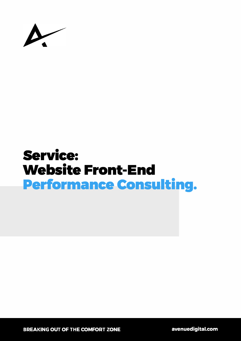

## **Service: Website Front-End Performance Consulting.**

**BREAKING OUT OF THE COMFORT ZONE [avenuedigital.com](https://www.avenuedigital.com)**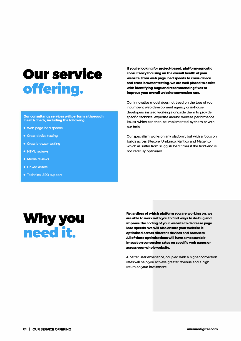# **Our service offering.**

#### **Our consultancy services will perform a thorough health check, including the following:**

- Web page load speeds
- Cross-device testing
- Cross-browser testing
- **HTML reviews**
- Media reviews
- **Linked assets**
- Technical SEO support

### **If you're looking for project-based, platform-agnostic consultancy focusing on the overall health of your website, from web page load speeds to cross-device and cross-browser testing, we are well placed to assist with identifying bugs and recommending fixes to improve your overall website conversion rate.**

Our innovative model does not tread on the toes of your incumbent web development agency or in-house developers. instead working alongside them to provide specific technical expertise around website performance issues. which can then be implemented by them or with our help.

Our specialism works on any platform. but with a focus on builds across Sitecore. Umbraco. Kentico and Magenta. which all suffer from sluggish load times if the front-end is not carefully optimised.

### **Why you need it.**

**Regardless of which platform you are working on, we are able to work with you to find ways to de-bug and improve the coding of your website to decrease page load speeds. We will also ensure your website is optimised across different devices and browsers. All of these optimisations will have a measurable impact on conversion rates on specific web pages or across your whole website.** 

A better user experience. coupled with a higher conversion rates will help you achieve greater revenue and a high return on your investment.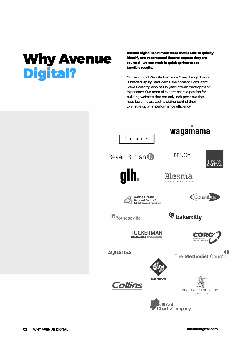# **Why Avenue Digital?**

**Avenue Digital is a nimble team that is able to quickly identify and recommend fixes to bugs as they are sourced -we can work in quick sprints to see tangible results.** 

Our Front-End Web Performance Consultancy division is headed up by Lead Web Development Consultant Steve Coventry. who has 15 years of web development experience. Our team of experts share a passion for building websites that not only look great but that have best-in-class coding sitting behind them to ensure optimal performance efficiency.